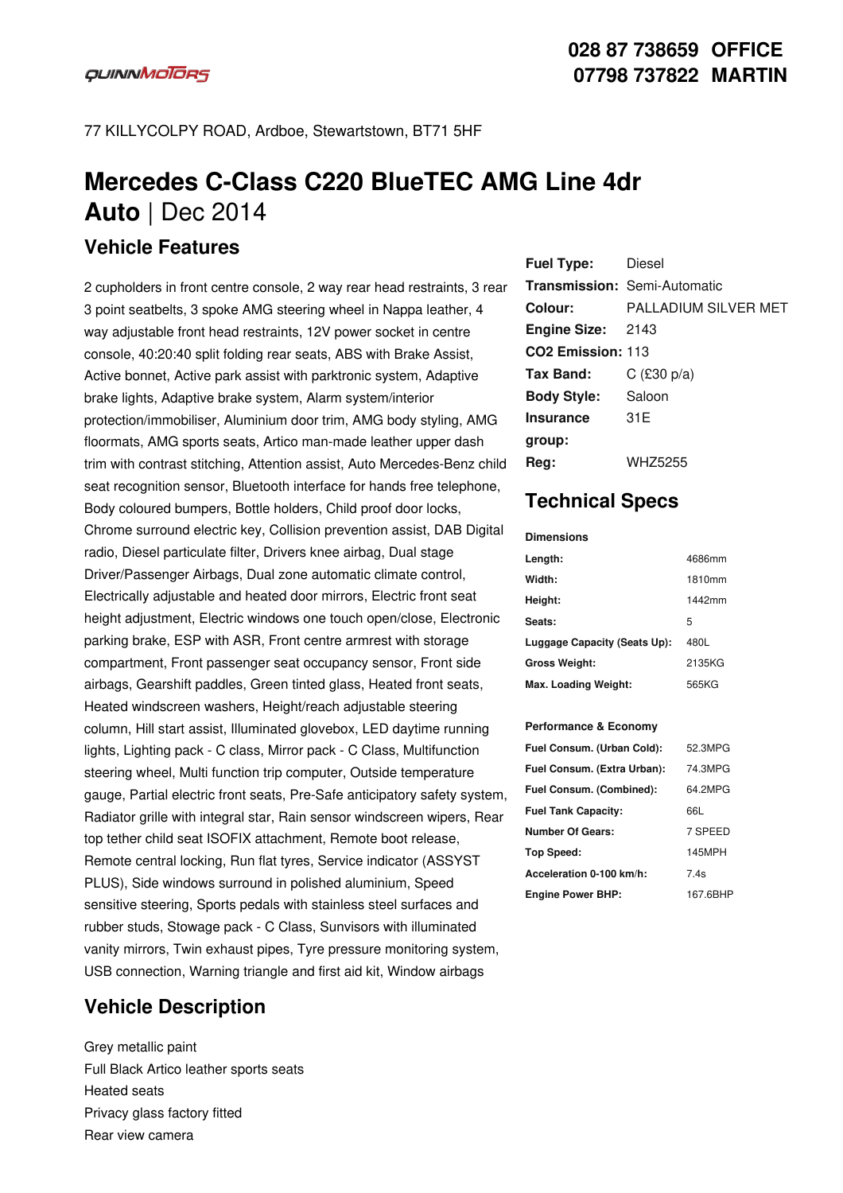# **Mercedes C-Class C220 BlueTEC AMG Line 4dr Auto** | Dec 2014

### **Vehicle Features**

2 cupholders in front centre console, 2 way rear head restraints, 3 rear 3 point seatbelts, 3 spoke AMG steering wheel in Nappa leather, 4 way adjustable front head restraints, 12V power socket in centre console, 40:20:40 split folding rear seats, ABS with Brake Assist, Active bonnet, Active park assist with parktronic system, Adaptive brake lights, Adaptive brake system, Alarm system/interior protection/immobiliser, Aluminium door trim, AMG body styling, AMG floormats, AMG sports seats, Artico man-made leather upper dash trim with contrast stitching, Attention assist, Auto Mercedes-Benz child seat recognition sensor, Bluetooth interface for hands free telephone, Body coloured bumpers, Bottle holders, Child proof door locks, Chrome surround electric key, Collision prevention assist, DAB Digital radio, Diesel particulate filter, Drivers knee airbag, Dual stage Driver/Passenger Airbags, Dual zone automatic climate control, Electrically adjustable and heated door mirrors, Electric front seat height adjustment, Electric windows one touch open/close, Electronic parking brake, ESP with ASR, Front centre armrest with storage compartment, Front passenger seat occupancy sensor, Front side airbags, Gearshift paddles, Green tinted glass, Heated front seats, Heated windscreen washers, Height/reach adjustable steering column, Hill start assist, Illuminated glovebox, LED daytime running lights, Lighting pack - C class, Mirror pack - C Class, Multifunction steering wheel, Multi function trip computer, Outside temperature gauge, Partial electric front seats, Pre-Safe anticipatory safety system, Radiator grille with integral star, Rain sensor windscreen wipers, Rear top tether child seat ISOFIX attachment, Remote boot release, Remote central locking, Run flat tyres, Service indicator (ASSYST PLUS), Side windows surround in polished aluminium, Speed sensitive steering, Sports pedals with stainless steel surfaces and rubber studs, Stowage pack -C Class, Sunvisors with illuminated vanity mirrors, Twin exhaust pipes, Tyre pressure monitoring system, USB connection, Warning triangle and first aid kit, Window airbags

## **Vehicle Description**

Grey metallic paint Full Black Artico leather sports seats Heated seats Privacy glass factory fitted Rear view camera

| <b>Fuel Type:</b> Diesel      |                              |
|-------------------------------|------------------------------|
|                               | Transmission: Semi-Automatic |
| Colour:                       | PALLADIUM SILVER MET         |
| <b>Engine Size: 2143</b>      |                              |
| CO <sub>2</sub> Emission: 113 |                              |
| Tax Band:                     | C $(£30 p/a)$                |
| <b>Body Style:</b>            | Saloon                       |
| <b>Insurance</b>              | 31 E                         |
| group:                        |                              |
| Reg:                          | WHZ5255                      |

# **Technical Specs**

### **Dimensions**

| Length:                      | 4686mm |
|------------------------------|--------|
| Width:                       | 1810mm |
| Height:                      | 1442mm |
| Seats:                       | 5      |
| Luggage Capacity (Seats Up): | 480L   |
| <b>Gross Weight:</b>         | 2135KG |
| Max. Loading Weight:         | 565KG  |

### **Performance & Economy**

| Fuel Consum. (Urban Cold):  | 52.3MPG  |
|-----------------------------|----------|
| Fuel Consum. (Extra Urban): | 74.3MPG  |
| Fuel Consum. (Combined):    | 64.2MPG  |
| <b>Fuel Tank Capacity:</b>  | 66L      |
| <b>Number Of Gears:</b>     | 7 SPEED  |
| Top Speed:                  | 145MPH   |
| Acceleration 0-100 km/h:    | 7.4s     |
| <b>Engine Power BHP:</b>    | 167.6BHP |